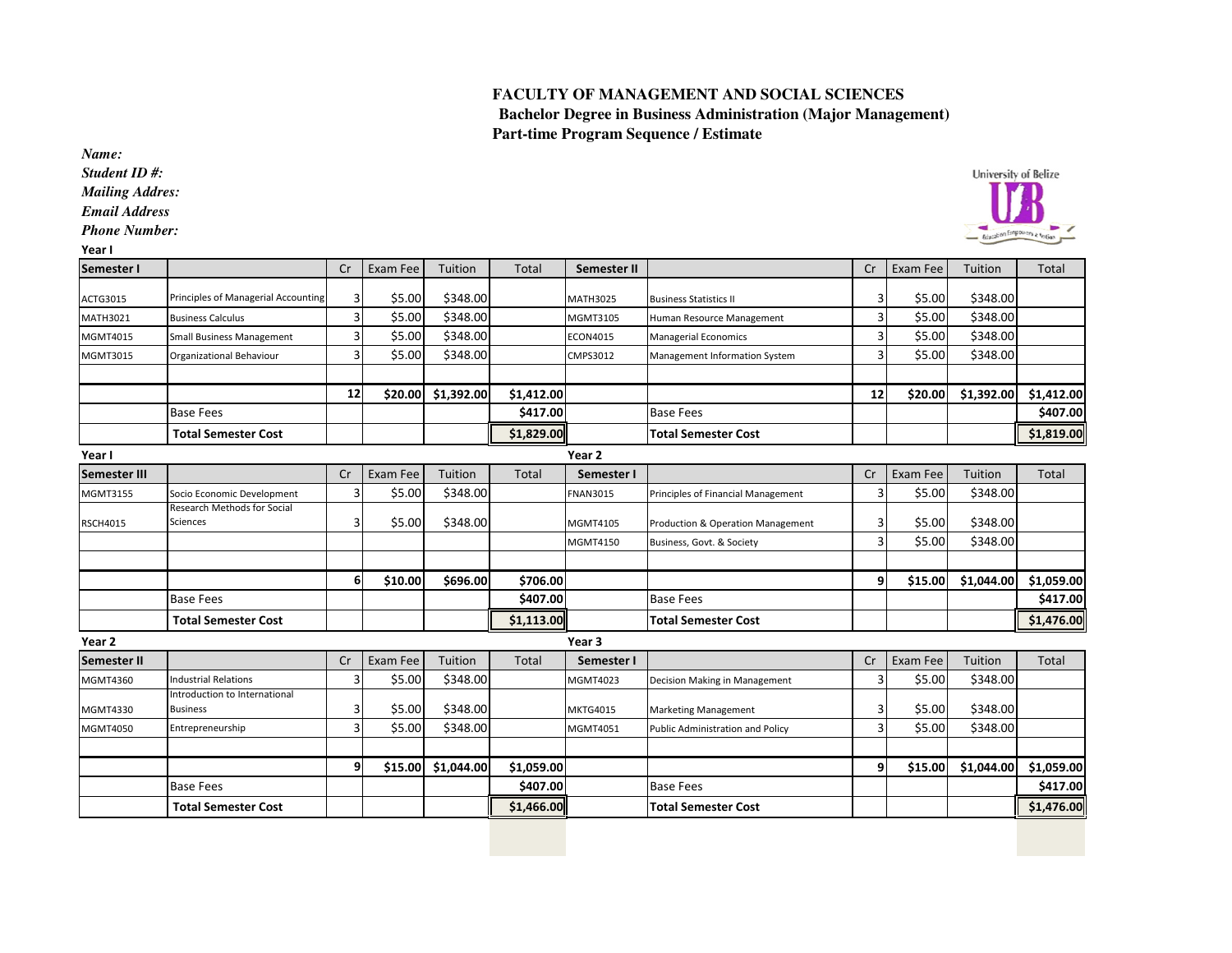## **FACULTY OF MANAGEMENT AND SOCIAL SCIENCES**

  **Bachelor Degree in Business Administration (Major Management) Part-time Program Sequence / Estimate**

*Name:*

 *Student ID #:Mailing Addres:*

*Email Address*

*Phone Number:*

| ×<br>. . |
|----------|
|----------|

| University of Belize<br><b>Brigadien</b> Empower |
|--------------------------------------------------|
|                                                  |

| Semester I          |                                                  | Cr | Exam Fee | Tuition    | <b>Total</b> | Semester II       |                                         | Cr           | Exam Fee | Tuition    | <b>Total</b> |
|---------------------|--------------------------------------------------|----|----------|------------|--------------|-------------------|-----------------------------------------|--------------|----------|------------|--------------|
| ACTG3015            | Principles of Managerial Accounting              | 3  | \$5.00   | \$348.00   |              | <b>MATH3025</b>   | <b>Business Statistics II</b>           |              | \$5.00   | \$348.00   |              |
| <b>MATH3021</b>     | <b>Business Calculus</b>                         | 3  | \$5.00   | \$348.00   |              | MGMT3105          | Human Resource Management               | 3            | \$5.00   | \$348.00   |              |
| MGMT4015            | <b>Small Business Management</b>                 | 3  | \$5.00   | \$348.00   |              | ECON4015          | Managerial Economics                    | 3            | \$5.00   | \$348.00   |              |
| MGMT3015            | Organizational Behaviour                         | 3  | \$5.00   | \$348.00   |              | CMPS3012          | Management Information System           |              | \$5.00   | \$348.00   |              |
|                     |                                                  |    |          |            |              |                   |                                         |              |          |            |              |
|                     |                                                  | 12 | \$20.00  | \$1,392.00 | \$1,412.00   |                   |                                         | 12           | \$20.00  | \$1,392.00 | \$1,412.00   |
|                     | <b>Base Fees</b>                                 |    |          |            | \$417.00     |                   | <b>Base Fees</b>                        |              |          |            | \$407.00     |
|                     | <b>Total Semester Cost</b>                       |    |          |            | \$1,829.00   |                   | <b>Total Semester Cost</b>              |              |          |            | \$1,819.00   |
| Year I              |                                                  |    |          |            |              | Year <sub>2</sub> |                                         |              |          |            |              |
| <b>Semester III</b> |                                                  | Cr | Exam Fee | Tuition    | Total        | Semester I        |                                         | Cr           | Exam Fee | Tuition    | Total        |
| MGMT3155            | Socio Economic Development                       | Р  | \$5.00   | \$348.00   |              | <b>FNAN3015</b>   | Principles of Financial Management      |              | \$5.00   | \$348.00   |              |
| <b>RSCH4015</b>     | Research Methods for Social<br>Sciences          | 3  | \$5.00   | \$348.00   |              | MGMT4105          | Production & Operation Management       | 3            | \$5.00   | \$348.00   |              |
|                     |                                                  |    |          |            |              | MGMT4150          | Business, Govt. & Society               |              | \$5.00   | \$348.00   |              |
|                     |                                                  |    |          |            |              |                   |                                         |              |          |            |              |
|                     |                                                  | 6  | \$10.00  | \$696.00   | \$706.00     |                   |                                         | $\mathbf{9}$ | \$15.00  | \$1,044.00 | \$1,059.00   |
|                     | <b>Base Fees</b>                                 |    |          |            | \$407.00     |                   | <b>Base Fees</b>                        |              |          |            | \$417.00     |
|                     | <b>Total Semester Cost</b>                       |    |          |            | \$1,113.00   |                   | <b>Total Semester Cost</b>              |              |          |            | \$1,476.00   |
| Year 2              |                                                  |    |          |            |              | Year <sub>3</sub> |                                         |              |          |            |              |
| <b>Semester II</b>  |                                                  | Cr | Exam Fee | Tuition    | <b>Total</b> | Semester I        |                                         | Cr           | Exam Fee | Tuition    | Total        |
| MGMT4360            | <b>Industrial Relations</b>                      | 3  | \$5.00   | \$348.00   |              | MGMT4023          | Decision Making in Management           |              | \$5.00   | \$348.00   |              |
| MGMT4330            | Introduction to International<br><b>Business</b> | 3  | \$5.00   | \$348.00   |              | <b>MKTG4015</b>   | <b>Marketing Management</b>             |              | \$5.00   | \$348.00   |              |
| MGMT4050            | Entrepreneurship                                 | 3  | \$5.00   | \$348.00   |              | MGMT4051          | <b>Public Administration and Policy</b> |              | \$5.00   | \$348.00   |              |
|                     |                                                  |    |          |            |              |                   |                                         |              |          |            |              |
|                     |                                                  | q  | \$15.00  | \$1,044.00 | \$1,059.00   |                   |                                         | 9            | \$15.00  | \$1,044.00 | \$1,059.00   |
|                     | <b>Base Fees</b>                                 |    |          |            | \$407.00     |                   | <b>Base Fees</b>                        |              |          |            | \$417.00     |
|                     | <b>Total Semester Cost</b>                       |    |          |            | \$1,466.00   |                   | <b>Total Semester Cost</b>              |              |          |            | \$1,476.00   |